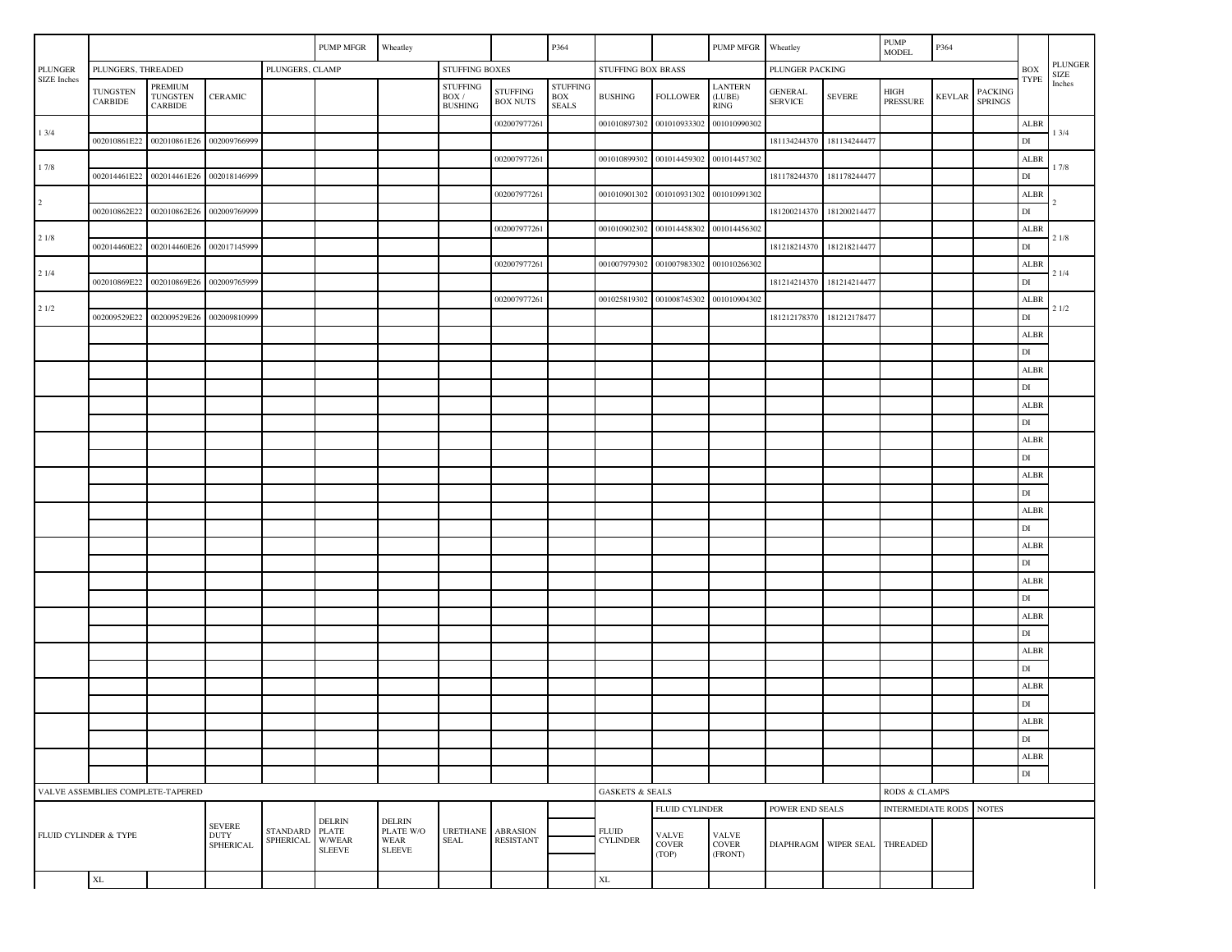|                               |                                   |                                       |                                                                                 |                 | PUMP MFGR                                           | Wheatley      |                                                   |                                     | P364                                   |                                                        |                                       | PUMP MFGR                               | Wheatley                         |                               | <b>PUMP</b><br>P364<br><b>MODEL</b> |               |                                  |                        |                        |
|-------------------------------|-----------------------------------|---------------------------------------|---------------------------------------------------------------------------------|-----------------|-----------------------------------------------------|---------------|---------------------------------------------------|-------------------------------------|----------------------------------------|--------------------------------------------------------|---------------------------------------|-----------------------------------------|----------------------------------|-------------------------------|-------------------------------------|---------------|----------------------------------|------------------------|------------------------|
| <b>PLUNGER</b><br>SIZE Inches | PLUNGERS, THREADED                |                                       |                                                                                 | PLUNGERS, CLAMP |                                                     |               | <b>STUFFING BOXES</b>                             |                                     |                                        | STUFFING BOX BRASS                                     |                                       |                                         |                                  | PLUNGER PACKING               |                                     |               |                                  |                        | PLUNGER<br><b>SIZE</b> |
|                               | TUNGSTEN<br><b>CARBIDE</b>        | PREMIUM<br>TUNGSTEN<br><b>CARBIDE</b> | <b>CERAMIC</b>                                                                  |                 |                                                     |               | <b>STUFFING</b><br>$\rm{BOX}$ /<br><b>BUSHING</b> | <b>STUFFING</b><br><b>BOX NUTS</b>  | <b>STUFFING</b><br>BOX<br><b>SEALS</b> | <b>BUSHING</b>                                         | <b>FOLLOWER</b>                       | <b>LANTERN</b><br>(LUBE)<br><b>RING</b> | <b>GENERAL</b><br><b>SERVICE</b> | <b>SEVERE</b>                 | $_{\rm HIGH}$<br><b>PRESSURE</b>    | <b>KEVLAR</b> | <b>PACKING</b><br><b>SPRINGS</b> | <b>TYPE</b>            | Inches                 |
|                               |                                   |                                       |                                                                                 |                 |                                                     |               |                                                   | 002007977261                        |                                        | 001010897302                                           | 001010933302                          | 001010990302                            |                                  |                               |                                     |               |                                  | ALBR                   |                        |
| 13/4                          |                                   | 002010861E22 002010861E26             | 002009766999                                                                    |                 |                                                     |               |                                                   |                                     |                                        |                                                        |                                       |                                         | 181134244370                     | 181134244477                  |                                     |               |                                  | $\mathop{\rm DI}$      | 13/4                   |
|                               |                                   |                                       |                                                                                 |                 |                                                     |               |                                                   | 002007977261                        |                                        | 001010899302                                           | 001014459302                          | 001014457302                            |                                  |                               |                                     |               |                                  | <b>ALBR</b>            |                        |
| 17/8                          | 002014461E22                      | 002014461E26 002018146999             |                                                                                 |                 |                                                     |               |                                                   |                                     |                                        |                                                        |                                       |                                         | 181178244370                     | 181178244477                  |                                     |               |                                  | $\mathbf{D}\mathbf{I}$ | 17/8                   |
| $\overline{2}$                |                                   |                                       |                                                                                 |                 |                                                     |               |                                                   | 002007977261                        |                                        |                                                        | 001010901302 001010931302             | 001010991302                            |                                  |                               |                                     |               |                                  | <b>ALBR</b>            |                        |
|                               | 002010862E22                      | 002010862E26                          | 002009769999                                                                    |                 |                                                     |               |                                                   |                                     |                                        |                                                        |                                       |                                         | 181200214370                     | 181200214477                  |                                     |               |                                  | $\mathbf{DI}$          |                        |
| 21/8                          |                                   |                                       |                                                                                 |                 |                                                     |               |                                                   | 002007977261                        |                                        | 001010902302                                           | 001014458302                          | 001014456302                            |                                  |                               |                                     |               |                                  | <b>ALBR</b>            | 21/8                   |
|                               | 002014460E22                      | 002014460E26                          | 002017145999                                                                    |                 |                                                     |               |                                                   |                                     |                                        |                                                        |                                       |                                         | 181218214370                     | 181218214477                  |                                     |               |                                  | $\mathop{\rm DI}$      |                        |
| 21/4                          |                                   |                                       |                                                                                 |                 |                                                     |               |                                                   | 002007977261                        |                                        | 001007979302                                           | 001007983302                          | 001010266302                            |                                  |                               |                                     |               |                                  | ALBR                   | 21/4                   |
|                               | 002010869E22                      | 002010869E26                          | 002009765999                                                                    |                 |                                                     |               |                                                   |                                     |                                        |                                                        |                                       |                                         |                                  | 181214214370 181214214477     |                                     |               |                                  | $\mathbf{D}\mathbf{I}$ |                        |
| 21/2                          |                                   |                                       |                                                                                 |                 |                                                     |               |                                                   | 002007977261                        |                                        | 001025819302                                           | 001008745302                          | 001010904302                            |                                  |                               |                                     |               |                                  | ALBR                   | 21/2                   |
|                               | 002009529E22                      | 002009529E26                          | 002009810999                                                                    |                 |                                                     |               |                                                   |                                     |                                        |                                                        |                                       |                                         | 181212178370                     | 181212178477                  |                                     |               |                                  | $\mathbf{DI}$          |                        |
|                               |                                   |                                       |                                                                                 |                 |                                                     |               |                                                   |                                     |                                        |                                                        |                                       |                                         |                                  |                               |                                     |               |                                  | ALBR                   |                        |
|                               |                                   |                                       |                                                                                 |                 |                                                     |               |                                                   |                                     |                                        |                                                        |                                       |                                         |                                  |                               |                                     |               |                                  | $\mathbf{D}\mathbf{I}$ |                        |
|                               |                                   |                                       |                                                                                 |                 |                                                     |               |                                                   |                                     |                                        |                                                        |                                       |                                         |                                  |                               |                                     |               |                                  | ALBR                   |                        |
|                               |                                   |                                       |                                                                                 |                 |                                                     |               |                                                   |                                     |                                        |                                                        |                                       |                                         |                                  |                               |                                     |               |                                  | $\mathbf{DI}$          |                        |
|                               |                                   |                                       |                                                                                 |                 |                                                     |               |                                                   |                                     |                                        |                                                        |                                       |                                         |                                  |                               |                                     |               |                                  | ALBR                   |                        |
|                               |                                   |                                       |                                                                                 |                 |                                                     |               |                                                   |                                     |                                        |                                                        |                                       |                                         |                                  |                               |                                     |               |                                  | $\mathbf{D}\mathbf{I}$ |                        |
|                               |                                   |                                       |                                                                                 |                 |                                                     |               |                                                   |                                     |                                        |                                                        |                                       |                                         |                                  |                               |                                     |               |                                  | ALBR<br>DI             |                        |
|                               |                                   |                                       |                                                                                 |                 |                                                     |               |                                                   |                                     |                                        |                                                        |                                       |                                         |                                  |                               |                                     |               |                                  |                        |                        |
|                               |                                   |                                       |                                                                                 |                 |                                                     |               |                                                   |                                     |                                        |                                                        |                                       |                                         |                                  |                               |                                     |               |                                  | ALBR<br>$\mathbf{DI}$  |                        |
|                               |                                   |                                       |                                                                                 |                 |                                                     |               |                                                   |                                     |                                        |                                                        |                                       |                                         |                                  |                               |                                     |               |                                  | <b>ALBR</b>            |                        |
|                               |                                   |                                       |                                                                                 |                 |                                                     |               |                                                   |                                     |                                        |                                                        |                                       |                                         |                                  |                               |                                     |               |                                  | DI                     |                        |
|                               |                                   |                                       |                                                                                 |                 |                                                     |               |                                                   |                                     |                                        |                                                        |                                       |                                         |                                  |                               |                                     |               |                                  | <b>ALBR</b>            |                        |
|                               |                                   |                                       |                                                                                 |                 |                                                     |               |                                                   |                                     |                                        |                                                        |                                       |                                         |                                  |                               |                                     |               |                                  | $\mathbf{DI}$          |                        |
|                               |                                   |                                       |                                                                                 |                 |                                                     |               |                                                   |                                     |                                        |                                                        |                                       |                                         |                                  |                               |                                     |               |                                  | <b>ALBR</b>            |                        |
|                               |                                   |                                       |                                                                                 |                 |                                                     |               |                                                   |                                     |                                        |                                                        |                                       |                                         |                                  |                               |                                     |               |                                  | $\mathbf{DI}$          |                        |
|                               |                                   |                                       |                                                                                 |                 |                                                     |               |                                                   |                                     |                                        |                                                        |                                       |                                         |                                  |                               |                                     |               |                                  | <b>ALBR</b>            |                        |
|                               |                                   |                                       |                                                                                 |                 |                                                     |               |                                                   |                                     |                                        |                                                        |                                       |                                         |                                  |                               |                                     |               |                                  | $\mathbf{D}\mathbf{I}$ |                        |
|                               |                                   |                                       |                                                                                 |                 |                                                     |               |                                                   |                                     |                                        |                                                        |                                       |                                         |                                  |                               |                                     |               |                                  | <b>ALBR</b>            |                        |
|                               |                                   |                                       |                                                                                 |                 |                                                     |               |                                                   |                                     |                                        |                                                        |                                       |                                         |                                  |                               |                                     |               |                                  | $\mathbf{DI}$          |                        |
|                               |                                   |                                       |                                                                                 |                 |                                                     |               |                                                   |                                     |                                        |                                                        |                                       |                                         |                                  |                               |                                     |               |                                  | <b>ALBR</b>            |                        |
|                               |                                   |                                       |                                                                                 |                 |                                                     |               |                                                   |                                     |                                        |                                                        |                                       |                                         |                                  |                               |                                     |               |                                  | $\mathop{\rm DI}$      |                        |
|                               |                                   |                                       |                                                                                 |                 |                                                     |               |                                                   |                                     |                                        |                                                        |                                       |                                         |                                  |                               |                                     |               |                                  | ALBR                   |                        |
|                               |                                   |                                       |                                                                                 |                 |                                                     |               |                                                   |                                     |                                        |                                                        |                                       |                                         |                                  |                               |                                     |               |                                  | $\mathbf{D}\mathbf{I}$ |                        |
|                               |                                   |                                       |                                                                                 |                 |                                                     |               |                                                   |                                     |                                        |                                                        |                                       |                                         |                                  |                               |                                     |               |                                  | ALBR                   |                        |
|                               |                                   |                                       |                                                                                 |                 |                                                     |               |                                                   |                                     |                                        |                                                        |                                       |                                         |                                  |                               |                                     |               |                                  | $\mathbf{DI}$          |                        |
|                               | VALVE ASSEMBLIES COMPLETE-TAPERED |                                       |                                                                                 |                 |                                                     |               |                                                   |                                     |                                        | <b>GASKETS &amp; SEALS</b><br><b>RODS &amp; CLAMPS</b> |                                       |                                         |                                  |                               |                                     |               |                                  |                        |                        |
|                               |                                   |                                       |                                                                                 |                 | <b>DELRIN</b>                                       | <b>DELRIN</b> |                                                   |                                     |                                        |                                                        | <b>FLUID CYLINDER</b>                 |                                         | POWER END SEALS                  |                               | INTERMEDIATE RODS NOTES             |               |                                  |                        |                        |
| FLUID CYLINDER & TYPE         |                                   |                                       | <b>SEVERE</b><br>STANDARD PLATE<br><b>DUTY</b><br>SPHERICAL W/WEAR<br>SPHERICAL |                 | PLATE W/O<br>WEAR<br><b>SLEEVE</b><br><b>SLEEVE</b> |               | <b>URETHANE</b><br><b>SEAL</b>                    | <b>ABRASION</b><br><b>RESISTANT</b> |                                        | <b>FLUID</b><br><b>CYLINDER</b>                        | <b>VALVE</b><br><b>COVER</b><br>(TOP) | <b>VALVE</b><br><b>COVER</b><br>(FRONT) |                                  | DIAPHRAGM WIPER SEAL THREADED |                                     |               |                                  |                        |                        |
|                               | $\mathbf{XL}$                     |                                       |                                                                                 |                 |                                                     |               |                                                   |                                     |                                        | $\mathbf{XL}$                                          |                                       |                                         |                                  |                               |                                     |               |                                  |                        |                        |
|                               |                                   |                                       |                                                                                 |                 |                                                     |               |                                                   |                                     |                                        |                                                        |                                       |                                         |                                  |                               |                                     |               |                                  |                        |                        |